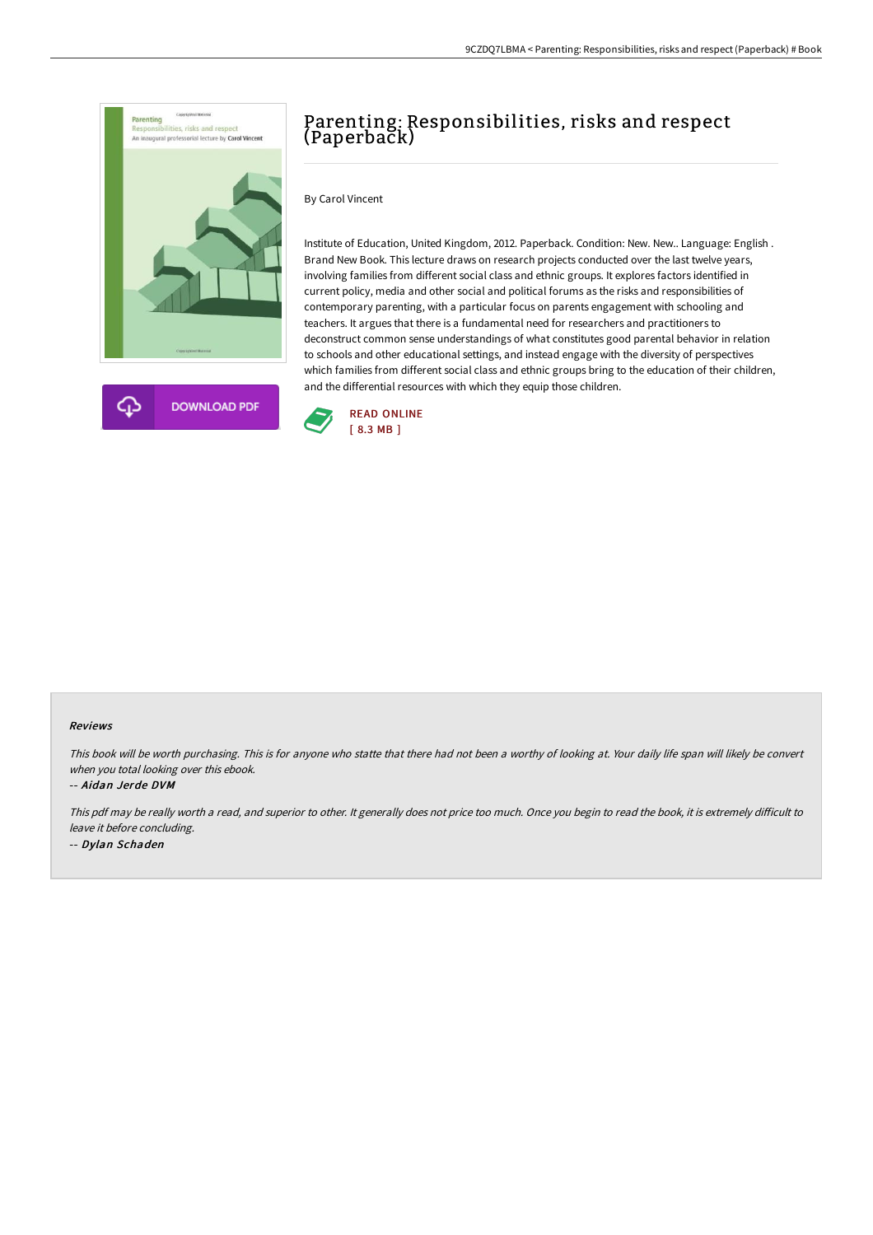



# Parenting: Responsibilities, risks and respect (Paperback)

#### By Carol Vincent

Institute of Education, United Kingdom, 2012. Paperback. Condition: New. New.. Language: English . Brand New Book. This lecture draws on research projects conducted over the last twelve years, involving families from different social class and ethnic groups. It explores factors identified in current policy, media and other social and political forums as the risks and responsibilities of contemporary parenting, with a particular focus on parents engagement with schooling and teachers. It argues that there is a fundamental need for researchers and practitioners to deconstruct common sense understandings of what constitutes good parental behavior in relation to schools and other educational settings, and instead engage with the diversity of perspectives which families from different social class and ethnic groups bring to the education of their children, and the differential resources with which they equip those children.



#### Reviews

This book will be worth purchasing. This is for anyone who statte that there had not been <sup>a</sup> worthy of looking at. Your daily life span will likely be convert when you total looking over this ebook.

#### -- Aidan Jerde DVM

This pdf may be really worth a read, and superior to other. It generally does not price too much. Once you begin to read the book, it is extremely difficult to leave it before concluding. -- Dylan Schaden